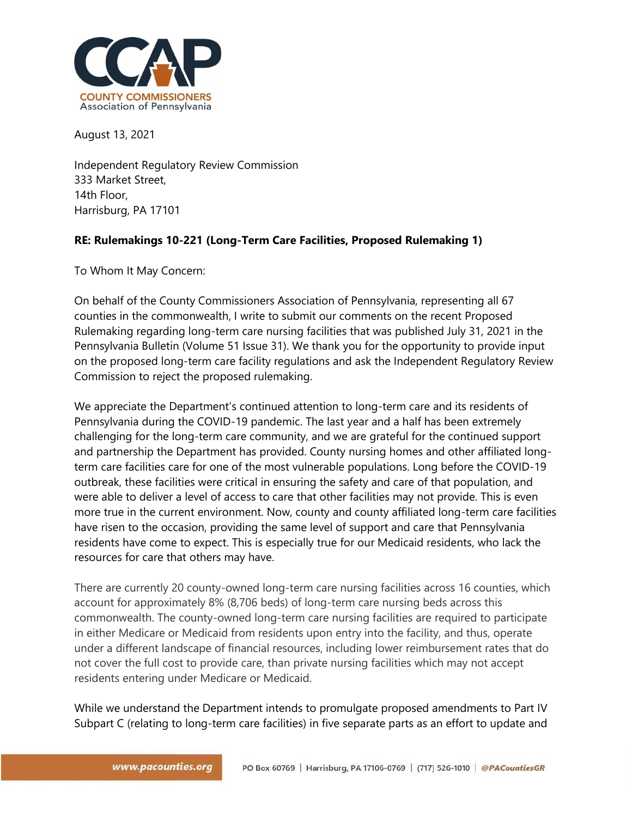

August 13, 2021

Independent Regulatory Review Commission 333 Market Street, 14th Floor, Harrisburg, PA 17101

## **RE: Rulemakings 10-221 (Long-Term Care Facilities, Proposed Rulemaking 1)**

To Whom It May Concern:

On behalf of the County Commissioners Association of Pennsylvania, representing all 67 counties in the commonwealth, I write to submit our comments on the recent Proposed Rulemaking regarding long-term care nursing facilities that was published July 31, 2021 in the Pennsylvania Bulletin (Volume 51 Issue 31). We thank you for the opportunity to provide input on the proposed long-term care facility regulations and ask the Independent Regulatory Review Commission to reject the proposed rulemaking.

We appreciate the Department's continued attention to long-term care and its residents of Pennsylvania during the COVID-19 pandemic. The last year and a half has been extremely challenging for the long-term care community, and we are grateful for the continued support and partnership the Department has provided. County nursing homes and other affiliated longterm care facilities care for one of the most vulnerable populations. Long before the COVID-19 outbreak, these facilities were critical in ensuring the safety and care of that population, and were able to deliver a level of access to care that other facilities may not provide. This is even more true in the current environment. Now, county and county affiliated long-term care facilities have risen to the occasion, providing the same level of support and care that Pennsylvania residents have come to expect. This is especially true for our Medicaid residents, who lack the resources for care that others may have.

There are currently 20 county-owned long-term care nursing facilities across 16 counties, which account for approximately 8% (8,706 beds) of long-term care nursing beds across this commonwealth. The county-owned long-term care nursing facilities are required to participate in either Medicare or Medicaid from residents upon entry into the facility, and thus, operate under a different landscape of financial resources, including lower reimbursement rates that do not cover the full cost to provide care, than private nursing facilities which may not accept residents entering under Medicare or Medicaid.

While we understand the Department intends to promulgate proposed amendments to Part IV Subpart C (relating to long-term care facilities) in five separate parts as an effort to update and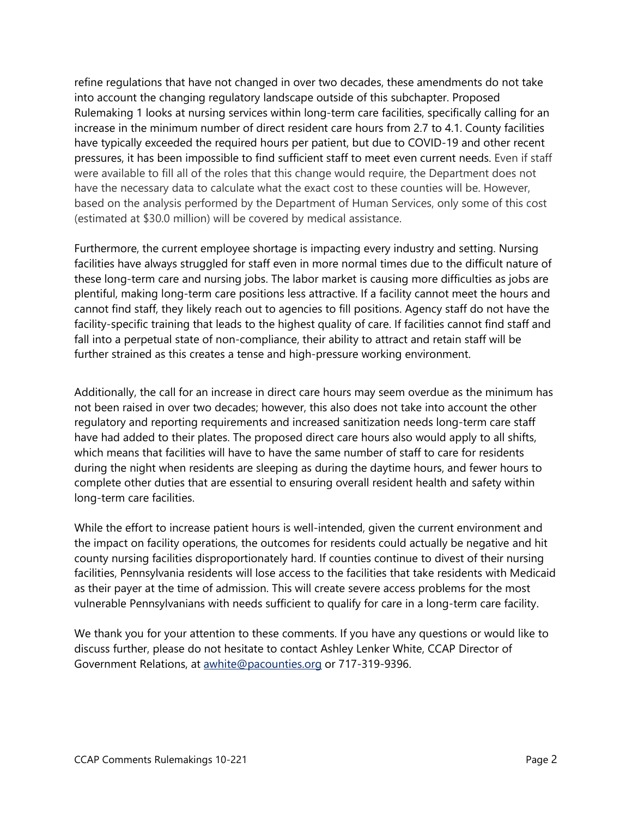refine regulations that have not changed in over two decades, these amendments do not take into account the changing regulatory landscape outside of this subchapter. Proposed Rulemaking 1 looks at nursing services within long-term care facilities, specifically calling for an increase in the minimum number of direct resident care hours from 2.7 to 4.1. County facilities have typically exceeded the required hours per patient, but due to COVID-19 and other recent pressures, it has been impossible to find sufficient staff to meet even current needs. Even if staff were available to fill all of the roles that this change would require, the Department does not have the necessary data to calculate what the exact cost to these counties will be. However, based on the analysis performed by the Department of Human Services, only some of this cost (estimated at \$30.0 million) will be covered by medical assistance.

Furthermore, the current employee shortage is impacting every industry and setting. Nursing facilities have always struggled for staff even in more normal times due to the difficult nature of these long-term care and nursing jobs. The labor market is causing more difficulties as jobs are plentiful, making long-term care positions less attractive. If a facility cannot meet the hours and cannot find staff, they likely reach out to agencies to fill positions. Agency staff do not have the facility-specific training that leads to the highest quality of care. If facilities cannot find staff and fall into a perpetual state of non-compliance, their ability to attract and retain staff will be further strained as this creates a tense and high-pressure working environment.

Additionally, the call for an increase in direct care hours may seem overdue as the minimum has not been raised in over two decades; however, this also does not take into account the other regulatory and reporting requirements and increased sanitization needs long-term care staff have had added to their plates. The proposed direct care hours also would apply to all shifts, which means that facilities will have to have the same number of staff to care for residents during the night when residents are sleeping as during the daytime hours, and fewer hours to complete other duties that are essential to ensuring overall resident health and safety within long-term care facilities.

While the effort to increase patient hours is well-intended, given the current environment and the impact on facility operations, the outcomes for residents could actually be negative and hit county nursing facilities disproportionately hard. If counties continue to divest of their nursing facilities, Pennsylvania residents will lose access to the facilities that take residents with Medicaid as their payer at the time of admission. This will create severe access problems for the most vulnerable Pennsylvanians with needs sufficient to qualify for care in a long-term care facility.

We thank you for your attention to these comments. If you have any questions or would like to discuss further, please do not hesitate to contact Ashley Lenker White, CCAP Director of Government Relations, at [awhite@pacounties.org](mailto:awhite@pacounties.org) or 717-319-9396.